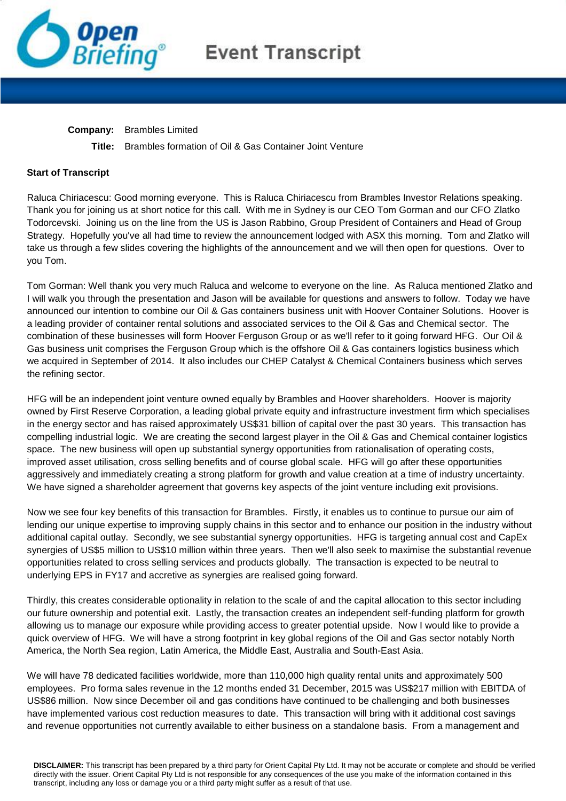

## **Event Transcript**

**Company:** Brambles Limited

**Title:** Brambles formation of Oil & Gas Container Joint Venture

## **Start of Transcript**

Raluca Chiriacescu: Good morning everyone. This is Raluca Chiriacescu from Brambles Investor Relations speaking. Thank you for joining us at short notice for this call. With me in Sydney is our CEO Tom Gorman and our CFO Zlatko Todorcevski. Joining us on the line from the US is Jason Rabbino, Group President of Containers and Head of Group Strategy. Hopefully you've all had time to review the announcement lodged with ASX this morning. Tom and Zlatko will take us through a few slides covering the highlights of the announcement and we will then open for questions. Over to you Tom.

Tom Gorman: Well thank you very much Raluca and welcome to everyone on the line. As Raluca mentioned Zlatko and I will walk you through the presentation and Jason will be available for questions and answers to follow. Today we have announced our intention to combine our Oil & Gas containers business unit with Hoover Container Solutions. Hoover is a leading provider of container rental solutions and associated services to the Oil & Gas and Chemical sector. The combination of these businesses will form Hoover Ferguson Group or as we'll refer to it going forward HFG. Our Oil & Gas business unit comprises the Ferguson Group which is the offshore Oil & Gas containers logistics business which we acquired in September of 2014. It also includes our CHEP Catalyst & Chemical Containers business which serves the refining sector.

HFG will be an independent joint venture owned equally by Brambles and Hoover shareholders. Hoover is majority owned by First Reserve Corporation, a leading global private equity and infrastructure investment firm which specialises in the energy sector and has raised approximately US\$31 billion of capital over the past 30 years. This transaction has compelling industrial logic. We are creating the second largest player in the Oil & Gas and Chemical container logistics space. The new business will open up substantial synergy opportunities from rationalisation of operating costs, improved asset utilisation, cross selling benefits and of course global scale. HFG will go after these opportunities aggressively and immediately creating a strong platform for growth and value creation at a time of industry uncertainty. We have signed a shareholder agreement that governs key aspects of the joint venture including exit provisions.

Now we see four key benefits of this transaction for Brambles. Firstly, it enables us to continue to pursue our aim of lending our unique expertise to improving supply chains in this sector and to enhance our position in the industry without additional capital outlay. Secondly, we see substantial synergy opportunities. HFG is targeting annual cost and CapEx synergies of US\$5 million to US\$10 million within three years. Then we'll also seek to maximise the substantial revenue opportunities related to cross selling services and products globally. The transaction is expected to be neutral to underlying EPS in FY17 and accretive as synergies are realised going forward.

Thirdly, this creates considerable optionality in relation to the scale of and the capital allocation to this sector including our future ownership and potential exit. Lastly, the transaction creates an independent self-funding platform for growth allowing us to manage our exposure while providing access to greater potential upside. Now I would like to provide a quick overview of HFG. We will have a strong footprint in key global regions of the Oil and Gas sector notably North America, the North Sea region, Latin America, the Middle East, Australia and South-East Asia.

We will have 78 dedicated facilities worldwide, more than 110,000 high quality rental units and approximately 500 employees. Pro forma sales revenue in the 12 months ended 31 December, 2015 was US\$217 million with EBITDA of US\$86 million. Now since December oil and gas conditions have continued to be challenging and both businesses have implemented various cost reduction measures to date. This transaction will bring with it additional cost savings and revenue opportunities not currently available to either business on a standalone basis. From a management and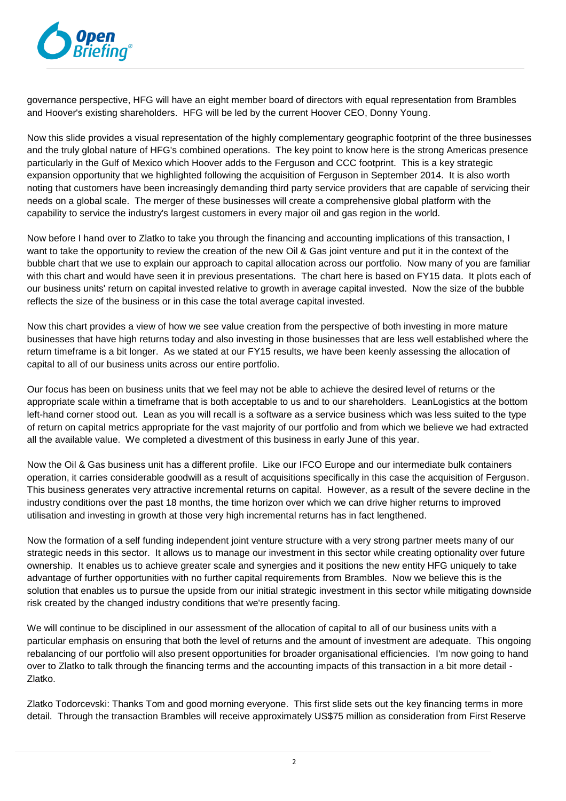

governance perspective, HFG will have an eight member board of directors with equal representation from Brambles and Hoover's existing shareholders. HFG will be led by the current Hoover CEO, Donny Young.

Now this slide provides a visual representation of the highly complementary geographic footprint of the three businesses and the truly global nature of HFG's combined operations. The key point to know here is the strong Americas presence particularly in the Gulf of Mexico which Hoover adds to the Ferguson and CCC footprint. This is a key strategic expansion opportunity that we highlighted following the acquisition of Ferguson in September 2014. It is also worth noting that customers have been increasingly demanding third party service providers that are capable of servicing their needs on a global scale. The merger of these businesses will create a comprehensive global platform with the capability to service the industry's largest customers in every major oil and gas region in the world.

Now before I hand over to Zlatko to take you through the financing and accounting implications of this transaction, I want to take the opportunity to review the creation of the new Oil & Gas joint venture and put it in the context of the bubble chart that we use to explain our approach to capital allocation across our portfolio. Now many of you are familiar with this chart and would have seen it in previous presentations. The chart here is based on FY15 data. It plots each of our business units' return on capital invested relative to growth in average capital invested. Now the size of the bubble reflects the size of the business or in this case the total average capital invested.

Now this chart provides a view of how we see value creation from the perspective of both investing in more mature businesses that have high returns today and also investing in those businesses that are less well established where the return timeframe is a bit longer. As we stated at our FY15 results, we have been keenly assessing the allocation of capital to all of our business units across our entire portfolio.

Our focus has been on business units that we feel may not be able to achieve the desired level of returns or the appropriate scale within a timeframe that is both acceptable to us and to our shareholders. LeanLogistics at the bottom left-hand corner stood out. Lean as you will recall is a software as a service business which was less suited to the type of return on capital metrics appropriate for the vast majority of our portfolio and from which we believe we had extracted all the available value. We completed a divestment of this business in early June of this year.

Now the Oil & Gas business unit has a different profile. Like our IFCO Europe and our intermediate bulk containers operation, it carries considerable goodwill as a result of acquisitions specifically in this case the acquisition of Ferguson. This business generates very attractive incremental returns on capital. However, as a result of the severe decline in the industry conditions over the past 18 months, the time horizon over which we can drive higher returns to improved utilisation and investing in growth at those very high incremental returns has in fact lengthened.

Now the formation of a self funding independent joint venture structure with a very strong partner meets many of our strategic needs in this sector. It allows us to manage our investment in this sector while creating optionality over future ownership. It enables us to achieve greater scale and synergies and it positions the new entity HFG uniquely to take advantage of further opportunities with no further capital requirements from Brambles. Now we believe this is the solution that enables us to pursue the upside from our initial strategic investment in this sector while mitigating downside risk created by the changed industry conditions that we're presently facing.

We will continue to be disciplined in our assessment of the allocation of capital to all of our business units with a particular emphasis on ensuring that both the level of returns and the amount of investment are adequate. This ongoing rebalancing of our portfolio will also present opportunities for broader organisational efficiencies. I'm now going to hand over to Zlatko to talk through the financing terms and the accounting impacts of this transaction in a bit more detail - Zlatko.

Zlatko Todorcevski: Thanks Tom and good morning everyone. This first slide sets out the key financing terms in more detail. Through the transaction Brambles will receive approximately US\$75 million as consideration from First Reserve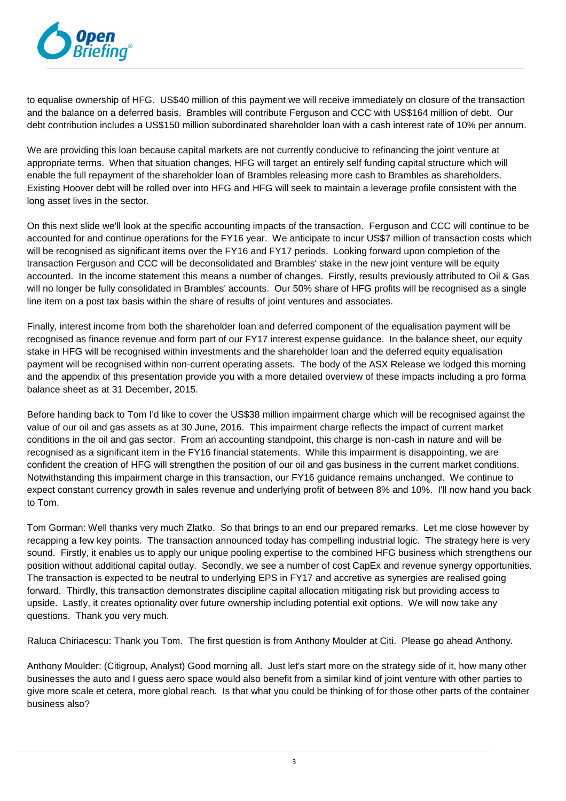

to equalise ownership of HFG. US\$40 million of this payment we will receive immediately on closure of the transaction and the balance on a deferred basis. Brambles will contribute Ferguson and CCC with US\$164 million of debt. Our debt contribution includes a US\$150 million subordinated shareholder loan with a cash interest rate of 10% per annum.

We are providing this loan because capital markets are not currently conducive to refinancing the joint venture at appropriate terms. When that situation changes, HFG will target an entirely self funding capital structure which will enable the full repayment of the shareholder loan of Brambles releasing more cash to Brambles as shareholders. Existing Hoover debt will be rolled over into HFG and HFG will seek to maintain a leverage profile consistent with the long asset lives in the sector.

On this next slide we'll look at the specific accounting impacts of the transaction. Ferguson and CCC will continue to be accounted for and continue operations for the FY16 year. We anticipate to incur US\$7 million of transaction costs which will be recognised as significant items over the FY16 and FY17 periods. Looking forward upon completion of the transaction Ferguson and CCC will be deconsolidated and Brambles' stake in the new joint venture will be equity accounted. In the income statement this means a number of changes. Firstly, results previously attributed to Oil & Gas will no longer be fully consolidated in Brambles' accounts. Our 50% share of HFG profits will be recognised as a single line item on a post tax basis within the share of results of joint ventures and associates.

Finally, interest income from both the shareholder loan and deferred component of the equalisation payment will be recognised as finance revenue and form part of our FY17 interest expense guidance. In the balance sheet, our equity stake in HFG will be recognised within investments and the shareholder loan and the deferred equity equalisation payment will be recognised within non-current operating assets. The body of the ASX Release we lodged this morning and the appendix of this presentation provide you with a more detailed overview of these impacts including a pro forma balance sheet as at 31 December, 2015.

Before handing back to Tom I'd like to cover the US\$38 million impairment charge which will be recognised against the value of our oil and gas assets as at 30 June, 2016. This impairment charge reflects the impact of current market conditions in the oil and gas sector. From an accounting standpoint, this charge is non-cash in nature and will be recognised as a significant item in the FY16 financial statements. While this impairment is disappointing, we are confident the creation of HFG will strengthen the position of our oil and gas business in the current market conditions. Notwithstanding this impairment charge in this transaction, our FY16 guidance remains unchanged. We continue to expect constant currency growth in sales revenue and underlying profit of between 8% and 10%. I'll now hand you back to Tom.

Tom Gorman: Well thanks very much Zlatko. So that brings to an end our prepared remarks. Let me close however by recapping a few key points. The transaction announced today has compelling industrial logic. The strategy here is very sound. Firstly, it enables us to apply our unique pooling expertise to the combined HFG business which strengthens our position without additional capital outlay. Secondly, we see a number of cost CapEx and revenue synergy opportunities. The transaction is expected to be neutral to underlying EPS in FY17 and accretive as synergies are realised going forward. Thirdly, this transaction demonstrates discipline capital allocation mitigating risk but providing access to upside. Lastly, it creates optionality over future ownership including potential exit options. We will now take any questions. Thank you very much.

Raluca Chiriacescu: Thank you Tom. The first question is from Anthony Moulder at Citi. Please go ahead Anthony.

Anthony Moulder: (Citigroup, Analyst) Good morning all. Just let's start more on the strategy side of it, how many other businesses the auto and I guess aero space would also benefit from a similar kind of joint venture with other parties to give more scale et cetera, more global reach. Is that what you could be thinking of for those other parts of the container business also?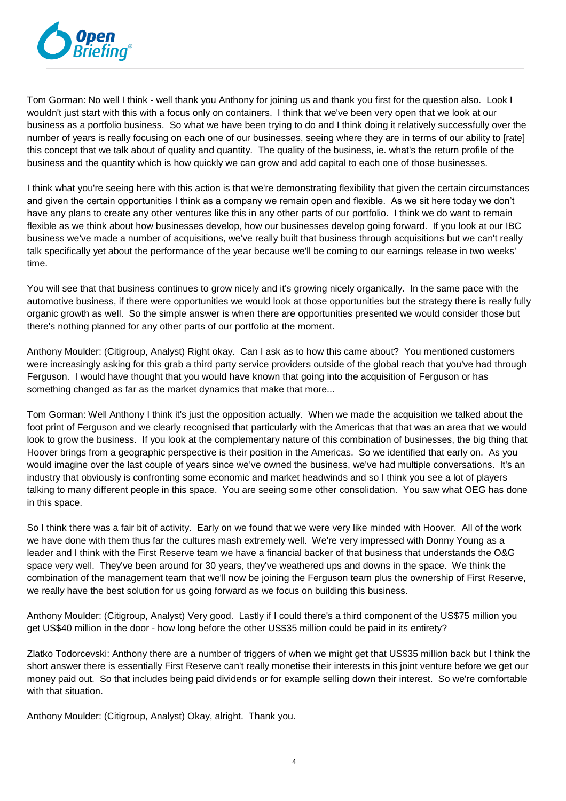

Tom Gorman: No well I think - well thank you Anthony for joining us and thank you first for the question also. Look I wouldn't just start with this with a focus only on containers. I think that we've been very open that we look at our business as a portfolio business. So what we have been trying to do and I think doing it relatively successfully over the number of years is really focusing on each one of our businesses, seeing where they are in terms of our ability to [rate] this concept that we talk about of quality and quantity. The quality of the business, ie. what's the return profile of the business and the quantity which is how quickly we can grow and add capital to each one of those businesses.

I think what you're seeing here with this action is that we're demonstrating flexibility that given the certain circumstances and given the certain opportunities I think as a company we remain open and flexible. As we sit here today we don't have any plans to create any other ventures like this in any other parts of our portfolio. I think we do want to remain flexible as we think about how businesses develop, how our businesses develop going forward. If you look at our IBC business we've made a number of acquisitions, we've really built that business through acquisitions but we can't really talk specifically yet about the performance of the year because we'll be coming to our earnings release in two weeks' time.

You will see that that business continues to grow nicely and it's growing nicely organically. In the same pace with the automotive business, if there were opportunities we would look at those opportunities but the strategy there is really fully organic growth as well. So the simple answer is when there are opportunities presented we would consider those but there's nothing planned for any other parts of our portfolio at the moment.

Anthony Moulder: (Citigroup, Analyst) Right okay. Can I ask as to how this came about? You mentioned customers were increasingly asking for this grab a third party service providers outside of the global reach that you've had through Ferguson. I would have thought that you would have known that going into the acquisition of Ferguson or has something changed as far as the market dynamics that make that more...

Tom Gorman: Well Anthony I think it's just the opposition actually. When we made the acquisition we talked about the foot print of Ferguson and we clearly recognised that particularly with the Americas that that was an area that we would look to grow the business. If you look at the complementary nature of this combination of businesses, the big thing that Hoover brings from a geographic perspective is their position in the Americas. So we identified that early on. As you would imagine over the last couple of years since we've owned the business, we've had multiple conversations. It's an industry that obviously is confronting some economic and market headwinds and so I think you see a lot of players talking to many different people in this space. You are seeing some other consolidation. You saw what OEG has done in this space.

So I think there was a fair bit of activity. Early on we found that we were very like minded with Hoover. All of the work we have done with them thus far the cultures mash extremely well. We're very impressed with Donny Young as a leader and I think with the First Reserve team we have a financial backer of that business that understands the O&G space very well. They've been around for 30 years, they've weathered ups and downs in the space. We think the combination of the management team that we'll now be joining the Ferguson team plus the ownership of First Reserve, we really have the best solution for us going forward as we focus on building this business.

Anthony Moulder: (Citigroup, Analyst) Very good. Lastly if I could there's a third component of the US\$75 million you get US\$40 million in the door - how long before the other US\$35 million could be paid in its entirety?

Zlatko Todorcevski: Anthony there are a number of triggers of when we might get that US\$35 million back but I think the short answer there is essentially First Reserve can't really monetise their interests in this joint venture before we get our money paid out. So that includes being paid dividends or for example selling down their interest. So we're comfortable with that situation.

Anthony Moulder: (Citigroup, Analyst) Okay, alright. Thank you.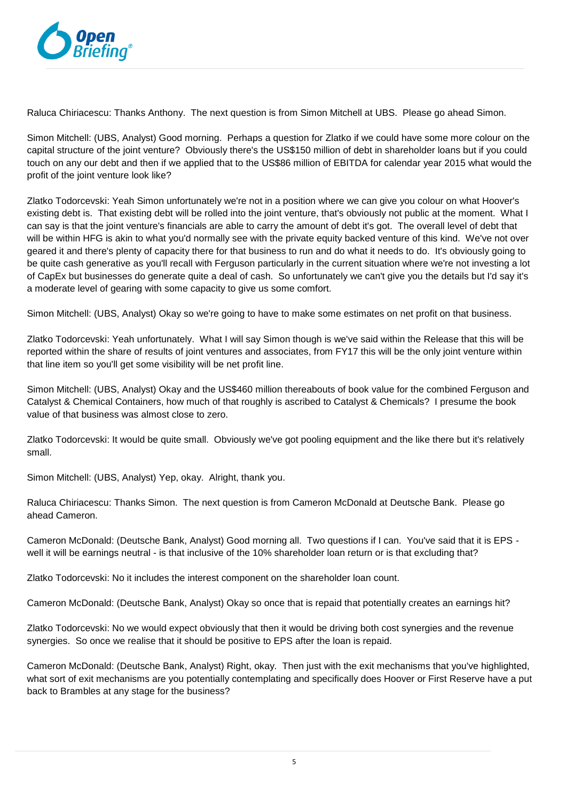

Raluca Chiriacescu: Thanks Anthony. The next question is from Simon Mitchell at UBS. Please go ahead Simon.

Simon Mitchell: (UBS, Analyst) Good morning. Perhaps a question for Zlatko if we could have some more colour on the capital structure of the joint venture? Obviously there's the US\$150 million of debt in shareholder loans but if you could touch on any our debt and then if we applied that to the US\$86 million of EBITDA for calendar year 2015 what would the profit of the joint venture look like?

Zlatko Todorcevski: Yeah Simon unfortunately we're not in a position where we can give you colour on what Hoover's existing debt is. That existing debt will be rolled into the joint venture, that's obviously not public at the moment. What I can say is that the joint venture's financials are able to carry the amount of debt it's got. The overall level of debt that will be within HFG is akin to what you'd normally see with the private equity backed venture of this kind. We've not over geared it and there's plenty of capacity there for that business to run and do what it needs to do. It's obviously going to be quite cash generative as you'll recall with Ferguson particularly in the current situation where we're not investing a lot of CapEx but businesses do generate quite a deal of cash. So unfortunately we can't give you the details but I'd say it's a moderate level of gearing with some capacity to give us some comfort.

Simon Mitchell: (UBS, Analyst) Okay so we're going to have to make some estimates on net profit on that business.

Zlatko Todorcevski: Yeah unfortunately. What I will say Simon though is we've said within the Release that this will be reported within the share of results of joint ventures and associates, from FY17 this will be the only joint venture within that line item so you'll get some visibility will be net profit line.

Simon Mitchell: (UBS, Analyst) Okay and the US\$460 million thereabouts of book value for the combined Ferguson and Catalyst & Chemical Containers, how much of that roughly is ascribed to Catalyst & Chemicals? I presume the book value of that business was almost close to zero.

Zlatko Todorcevski: It would be quite small. Obviously we've got pooling equipment and the like there but it's relatively small.

Simon Mitchell: (UBS, Analyst) Yep, okay. Alright, thank you.

Raluca Chiriacescu: Thanks Simon. The next question is from Cameron McDonald at Deutsche Bank. Please go ahead Cameron.

Cameron McDonald: (Deutsche Bank, Analyst) Good morning all. Two questions if I can. You've said that it is EPS well it will be earnings neutral - is that inclusive of the 10% shareholder loan return or is that excluding that?

Zlatko Todorcevski: No it includes the interest component on the shareholder loan count.

Cameron McDonald: (Deutsche Bank, Analyst) Okay so once that is repaid that potentially creates an earnings hit?

Zlatko Todorcevski: No we would expect obviously that then it would be driving both cost synergies and the revenue synergies. So once we realise that it should be positive to EPS after the loan is repaid.

Cameron McDonald: (Deutsche Bank, Analyst) Right, okay. Then just with the exit mechanisms that you've highlighted, what sort of exit mechanisms are you potentially contemplating and specifically does Hoover or First Reserve have a put back to Brambles at any stage for the business?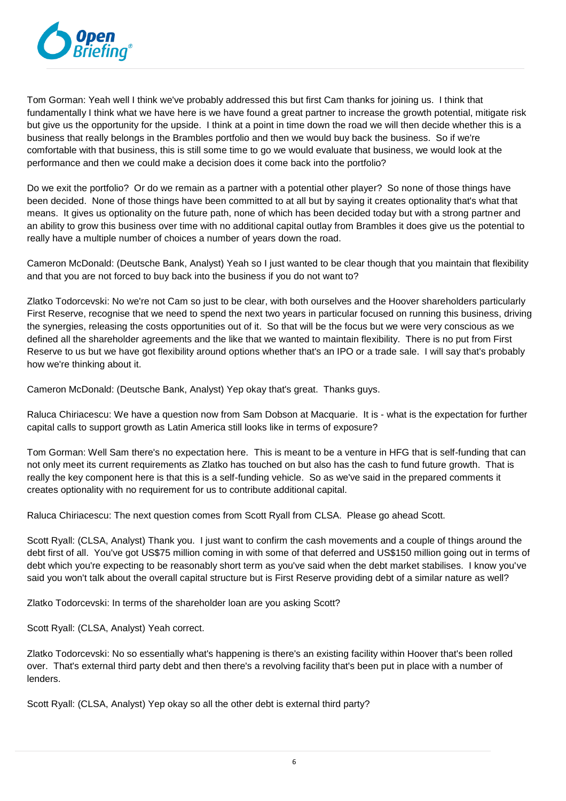

Tom Gorman: Yeah well I think we've probably addressed this but first Cam thanks for joining us. I think that fundamentally I think what we have here is we have found a great partner to increase the growth potential, mitigate risk but give us the opportunity for the upside. I think at a point in time down the road we will then decide whether this is a business that really belongs in the Brambles portfolio and then we would buy back the business. So if we're comfortable with that business, this is still some time to go we would evaluate that business, we would look at the performance and then we could make a decision does it come back into the portfolio?

Do we exit the portfolio? Or do we remain as a partner with a potential other player? So none of those things have been decided. None of those things have been committed to at all but by saying it creates optionality that's what that means. It gives us optionality on the future path, none of which has been decided today but with a strong partner and an ability to grow this business over time with no additional capital outlay from Brambles it does give us the potential to really have a multiple number of choices a number of years down the road.

Cameron McDonald: (Deutsche Bank, Analyst) Yeah so I just wanted to be clear though that you maintain that flexibility and that you are not forced to buy back into the business if you do not want to?

Zlatko Todorcevski: No we're not Cam so just to be clear, with both ourselves and the Hoover shareholders particularly First Reserve, recognise that we need to spend the next two years in particular focused on running this business, driving the synergies, releasing the costs opportunities out of it. So that will be the focus but we were very conscious as we defined all the shareholder agreements and the like that we wanted to maintain flexibility. There is no put from First Reserve to us but we have got flexibility around options whether that's an IPO or a trade sale. I will say that's probably how we're thinking about it.

Cameron McDonald: (Deutsche Bank, Analyst) Yep okay that's great. Thanks guys.

Raluca Chiriacescu: We have a question now from Sam Dobson at Macquarie. It is - what is the expectation for further capital calls to support growth as Latin America still looks like in terms of exposure?

Tom Gorman: Well Sam there's no expectation here. This is meant to be a venture in HFG that is self-funding that can not only meet its current requirements as Zlatko has touched on but also has the cash to fund future growth. That is really the key component here is that this is a self-funding vehicle. So as we've said in the prepared comments it creates optionality with no requirement for us to contribute additional capital.

Raluca Chiriacescu: The next question comes from Scott Ryall from CLSA. Please go ahead Scott.

Scott Ryall: (CLSA, Analyst) Thank you. I just want to confirm the cash movements and a couple of things around the debt first of all. You've got US\$75 million coming in with some of that deferred and US\$150 million going out in terms of debt which you're expecting to be reasonably short term as you've said when the debt market stabilises. I know you've said you won't talk about the overall capital structure but is First Reserve providing debt of a similar nature as well?

Zlatko Todorcevski: In terms of the shareholder loan are you asking Scott?

Scott Ryall: (CLSA, Analyst) Yeah correct.

Zlatko Todorcevski: No so essentially what's happening is there's an existing facility within Hoover that's been rolled over. That's external third party debt and then there's a revolving facility that's been put in place with a number of lenders.

Scott Ryall: (CLSA, Analyst) Yep okay so all the other debt is external third party?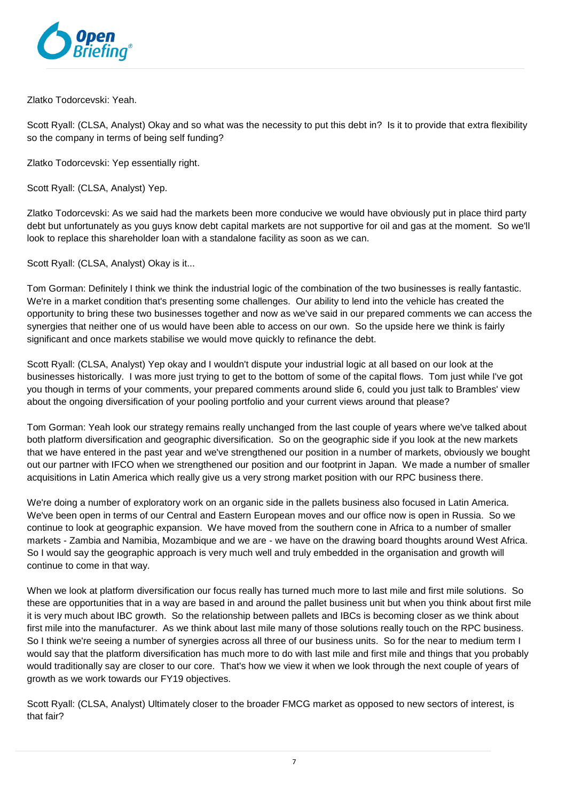

Zlatko Todorcevski: Yeah.

Scott Ryall: (CLSA, Analyst) Okay and so what was the necessity to put this debt in? Is it to provide that extra flexibility so the company in terms of being self funding?

Zlatko Todorcevski: Yep essentially right.

Scott Ryall: (CLSA, Analyst) Yep.

Zlatko Todorcevski: As we said had the markets been more conducive we would have obviously put in place third party debt but unfortunately as you guys know debt capital markets are not supportive for oil and gas at the moment. So we'll look to replace this shareholder loan with a standalone facility as soon as we can.

Scott Ryall: (CLSA, Analyst) Okay is it...

Tom Gorman: Definitely I think we think the industrial logic of the combination of the two businesses is really fantastic. We're in a market condition that's presenting some challenges. Our ability to lend into the vehicle has created the opportunity to bring these two businesses together and now as we've said in our prepared comments we can access the synergies that neither one of us would have been able to access on our own. So the upside here we think is fairly significant and once markets stabilise we would move quickly to refinance the debt.

Scott Ryall: (CLSA, Analyst) Yep okay and I wouldn't dispute your industrial logic at all based on our look at the businesses historically. I was more just trying to get to the bottom of some of the capital flows. Tom just while I've got you though in terms of your comments, your prepared comments around slide 6, could you just talk to Brambles' view about the ongoing diversification of your pooling portfolio and your current views around that please?

Tom Gorman: Yeah look our strategy remains really unchanged from the last couple of years where we've talked about both platform diversification and geographic diversification. So on the geographic side if you look at the new markets that we have entered in the past year and we've strengthened our position in a number of markets, obviously we bought out our partner with IFCO when we strengthened our position and our footprint in Japan. We made a number of smaller acquisitions in Latin America which really give us a very strong market position with our RPC business there.

We're doing a number of exploratory work on an organic side in the pallets business also focused in Latin America. We've been open in terms of our Central and Eastern European moves and our office now is open in Russia. So we continue to look at geographic expansion. We have moved from the southern cone in Africa to a number of smaller markets - Zambia and Namibia, Mozambique and we are - we have on the drawing board thoughts around West Africa. So I would say the geographic approach is very much well and truly embedded in the organisation and growth will continue to come in that way.

When we look at platform diversification our focus really has turned much more to last mile and first mile solutions. So these are opportunities that in a way are based in and around the pallet business unit but when you think about first mile it is very much about IBC growth. So the relationship between pallets and IBCs is becoming closer as we think about first mile into the manufacturer. As we think about last mile many of those solutions really touch on the RPC business. So I think we're seeing a number of synergies across all three of our business units. So for the near to medium term I would say that the platform diversification has much more to do with last mile and first mile and things that you probably would traditionally say are closer to our core. That's how we view it when we look through the next couple of years of growth as we work towards our FY19 objectives.

Scott Ryall: (CLSA, Analyst) Ultimately closer to the broader FMCG market as opposed to new sectors of interest, is that fair?